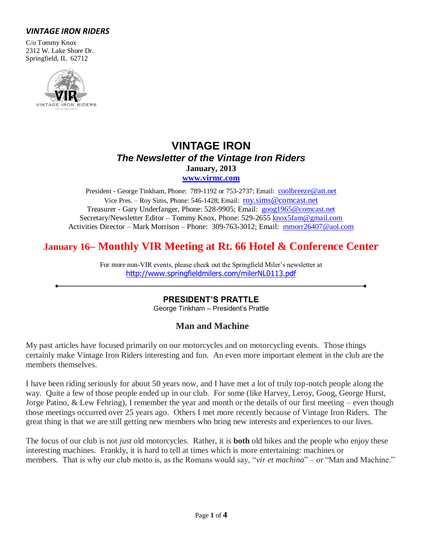# *VINTAGE IRON RIDERS*

C/o Tommy Knox 2312 W. Lake Shore Dr. Springfield, IL 62712



# **VINTAGE IRON** *The Newsletter of the Vintage Iron Riders* **January, 2013**

**[www.virmc.com](http://www.virmc.com/)** 

President - George Tinkham, Phone: 789-1192 or 753-2737; Email: [coolbreeze@att.net](mailto:coolbreeze@att.net) Vice Pres. – Roy Sims, Phone: 546-1428; Email: [roy.sims@comcast.net](mailto:roy.sims@comcast.net) Treasurer - Gary Underfanger, Phone: 528-9905; Email: [goog1965@comcast.net](mailto:goog1965@comcast.net) Secretary/Newsletter Editor – Tommy Knox, Phone: 529-2655 [knox5fam@gmail.com](mailto:knox5fam@gmail.com) Activities Director – Mark Morrison – Phone: 309-763-3012; Email: [mmorr26407@aol.com](mailto:mmorr26407@aol.com)

# **January 16– Monthly VIR Meeting at Rt. 66 Hotel & Conference Center**

For more non-VIR events, please check out the Springfield Miler's newsletter at <http://www.springfieldmilers.com/milerNL0113.pdf>

# **PRESIDENT'S PRATTLE**

George Tinkham – President's Prattle

# **Man and Machine**

My past articles have focused primarily on our motorcycles and on motorcycling events. Those things certainly make Vintage Iron Riders interesting and fun. An even more important element in the club are the members themselves.

I have been riding seriously for about 50 years now, and I have met a lot of truly top-notch people along the way. Quite a few of those people ended up in our club. For some (like Harvey, Leroy, Goog, George Hurst, Jorge Patino, & Lew Fehring), I remember the year and month or the details of our first meeting – even though those meetings occurred over 25 years ago. Others I met more recently because of Vintage Iron Riders. The great thing is that we are still getting new members who bring new interests and experiences to our lives.

The focus of our club is not *just* old motorcycles. Rather, it is **both** old bikes and the people who enjoy these interesting machines. Frankly, it is hard to tell at times which is more entertaining: machines or members. That is why our club motto is, as the Romans would say, "*vir et machina*" – or "Man and Machine."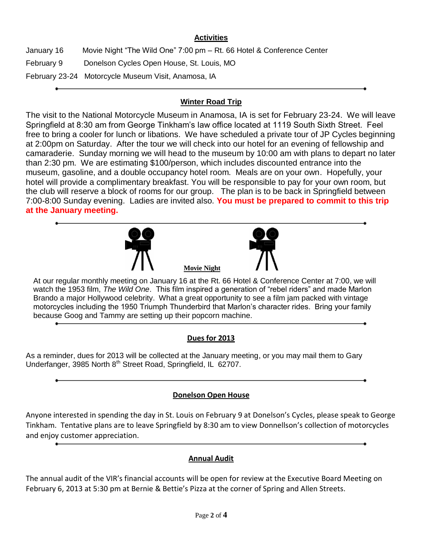## **Activities**

January 16 Movie Night "The Wild One" 7:00 pm – Rt. 66 Hotel & Conference Center February 9 Donelson Cycles Open House, St. Louis, MO February 23-24 Motorcycle Museum Visit, Anamosa, IA

## **Winter Road Trip**

The visit to the National Motorcycle Museum in Anamosa, IA is set for February 23-24. We will leave Springfield at 8:30 am from George Tinkham's law office located at 1119 South Sixth Street. Feel free to bring a cooler for lunch or libations. We have scheduled a private tour of JP Cycles beginning at 2:00pm on Saturday. After the tour we will check into our hotel for an evening of fellowship and camaraderie. Sunday morning we will head to the museum by 10:00 am with plans to depart no later than 2:30 pm. We are estimating \$100/person, which includes discounted entrance into the museum, gasoline, and a double occupancy hotel room. Meals are on your own. Hopefully, your hotel will provide a complimentary breakfast. You will be responsible to pay for your own room, but the club will reserve a block of rooms for our group. The plan is to be back in Springfield between 7:00-8:00 Sunday evening. Ladies are invited also. **You must be prepared to commit to this trip at the January meeting.**





At our regular monthly meeting on January 16 at the Rt. 66 Hotel & Conference Center at 7:00, we will watch the 1953 film, *The Wild One*. This film inspired a generation of "rebel riders" and made Marlon Brando a major Hollywood celebrity. What a great opportunity to see a film jam packed with vintage motorcycles including the 1950 Triumph Thunderbird that Marlon's character rides. Bring your family because Goog and Tammy are setting up their popcorn machine.

**Movie Night**

# **Dues for 2013**

As a reminder, dues for 2013 will be collected at the January meeting, or you may mail them to Gary Underfanger, 3985 North 8<sup>th</sup> Street Road, Springfield, IL 62707.

## **Donelson Open House**

Anyone interested in spending the day in St. Louis on February 9 at Donelson's Cycles, please speak to George Tinkham. Tentative plans are to leave Springfield by 8:30 am to view Donnellson's collection of motorcycles and enjoy customer appreciation.

## **Annual Audit**

The annual audit of the VIR's financial accounts will be open for review at the Executive Board Meeting on February 6, 2013 at 5:30 pm at Bernie & Bettie's Pizza at the corner of Spring and Allen Streets.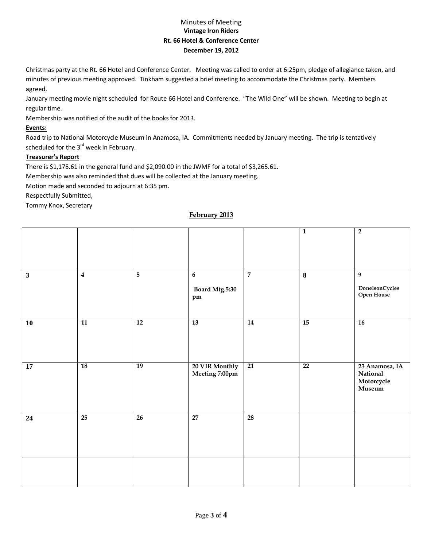### Minutes of Meeting **Vintage Iron Riders Rt. 66 Hotel & Conference Center December 19, 2012**

Christmas party at the Rt. 66 Hotel and Conference Center. Meeting was called to order at 6:25pm, pledge of allegiance taken, and minutes of previous meeting approved. Tinkham suggested a brief meeting to accommodate the Christmas party. Members agreed.

January meeting movie night scheduled for Route 66 Hotel and Conference. "The Wild One" will be shown. Meeting to begin at regular time.

Membership was notified of the audit of the books for 2013.

#### **Events:**

Road trip to National Motorcycle Museum in Anamosa, IA. Commitments needed by January meeting. The trip is tentatively scheduled for the  $3<sup>rd</sup>$  week in February.

#### **Treasurer's Report**

There is \$1,175.61 in the general fund and \$2,090.00 in the JWMF for a total of \$3,265.61.

Membership was also reminded that dues will be collected at the January meeting.

Motion made and seconded to adjourn at 6:35 pm.

Respectfully Submitted,

Tommy Knox, Secretary

### **February 2013**

|                 |                 |                 |                                         |                 | $\overline{1}$          | $\overline{2}$                                            |
|-----------------|-----------------|-----------------|-----------------------------------------|-----------------|-------------------------|-----------------------------------------------------------|
| $\mathbf{3}$    | $\overline{4}$  | $\overline{5}$  | $6\phantom{1}6$<br>Board Mtg.5:30<br>pm | $\overline{7}$  | $\overline{\mathbf{8}}$ | $\overline{9}$<br>$\mathbf{DonelsonCycles}$<br>Open House |
| $\overline{10}$ | $\overline{11}$ | $\overline{12}$ | 13                                      | 14              | $\overline{15}$         | <b>16</b>                                                 |
| 17              | 18              | 19              | 20 VIR Monthly<br>Meeting 7:00pm        | $\overline{21}$ | $\overline{22}$         | 23 Anamosa, IA<br>National<br>Motorcycle<br>Museum        |
| $\overline{24}$ | 25              | 26              | 27                                      | 28              |                         |                                                           |
|                 |                 |                 |                                         |                 |                         |                                                           |